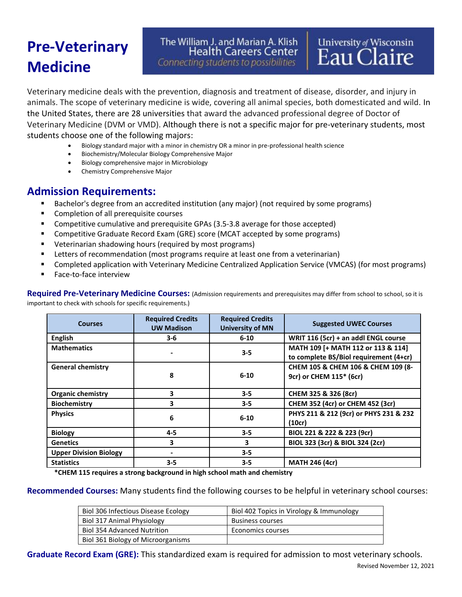## **Pre-Veterinary Medicine**

The William J. and Marian A. Klish **Health Careers Center** Connecting students to possibilities

Veterinary medicine deals with the prevention, diagnosis and treatment of disease, disorder, and injury in animals. The scope of veterinary medicine is wide, covering all animal species, both domesticated and wild. In the United States, there are 28 universities that award the advanced professional degree of Doctor of Veterinary Medicine (DVM or VMD). Although there is not a specific major for pre-veterinary students, most students choose one of the following majors:

- Biology standard major with a minor in chemistry OR a minor in pre-professional health science
- Biochemistry/Molecular Biology Comprehensive Major
- Biology comprehensive major in Microbiology
- Chemistry Comprehensive Major

## **Admission Requirements:**

- **E** Bachelor's degree from an accredited institution (any major) (not required by some programs)
- Completion of all prerequisite courses
- Competitive cumulative and prerequisite GPAs (3.5-3.8 average for those accepted)
- **Competitive Graduate Record Exam (GRE) score (MCAT accepted by some programs)**
- Veterinarian shadowing hours (required by most programs)
- **EXECTER 15 Increment LET 15 Increment Control EXECTER 1** Letters of recommendation (most proportion)
- Completed application with Veterinary Medicine Centralized Application Service (VMCAS) (for most programs)
- Face-to-face interview

**Required Pre-Veterinary Medicine Courses:** (Admission requirements and prerequisites may differ from school to school, so it is important to check with schools for specific requirements.)

| <b>Courses</b>                | <b>Required Credits</b><br><b>UW Madison</b> | <b>Required Credits</b><br><b>University of MN</b> | <b>Suggested UWEC Courses</b>                                                |
|-------------------------------|----------------------------------------------|----------------------------------------------------|------------------------------------------------------------------------------|
| <b>English</b>                | $3 - 6$                                      | $6 - 10$                                           | WRIT 116 (5cr) + an addl ENGL course                                         |
| <b>Mathematics</b>            |                                              | $3 - 5$                                            | MATH 109 [+ MATH 112 or 113 & 114]<br>to complete BS/Biol requirement (4+cr) |
| <b>General chemistry</b>      | 8                                            | $6 - 10$                                           | CHEM 105 & CHEM 106 & CHEM 109 (8-<br>9cr) or CHEM 115* (6cr)                |
| <b>Organic chemistry</b>      | 3                                            | $3 - 5$                                            | CHEM 325 & 326 (8cr)                                                         |
| <b>Biochemistry</b>           | 3                                            | $3 - 5$                                            | CHEM 352 (4cr) or CHEM 452 (3cr)                                             |
| <b>Physics</b>                | 6                                            | $6 - 10$                                           | PHYS 211 & 212 (9cr) or PHYS 231 & 232<br>(10cr)                             |
| <b>Biology</b>                | $4 - 5$                                      | $3 - 5$                                            | BIOL 221 & 222 & 223 (9cr)                                                   |
| <b>Genetics</b>               | 3                                            | 3                                                  | BIOL 323 (3cr) & BIOL 324 (2cr)                                              |
| <b>Upper Division Biology</b> |                                              | $3 - 5$                                            |                                                                              |
| <b>Statistics</b>             | $3 - 5$                                      | $3 - 5$                                            | <b>MATH 246 (4cr)</b>                                                        |

**\*CHEM 115 requires a strong background in high school math and chemistry**

**Recommended Courses:** Many students find the following courses to be helpful in veterinary school courses:

| Biol 306 Infectious Disease Ecology | Biol 402 Topics in Virology & Immunology |
|-------------------------------------|------------------------------------------|
| Biol 317 Animal Physiology          | <b>Business courses</b>                  |
| <b>Biol 354 Advanced Nutrition</b>  | Economics courses                        |
| Biol 361 Biology of Microorganisms  |                                          |

**Graduate Record Exam (GRE):** This standardized exam is required for admission to most veterinary schools.